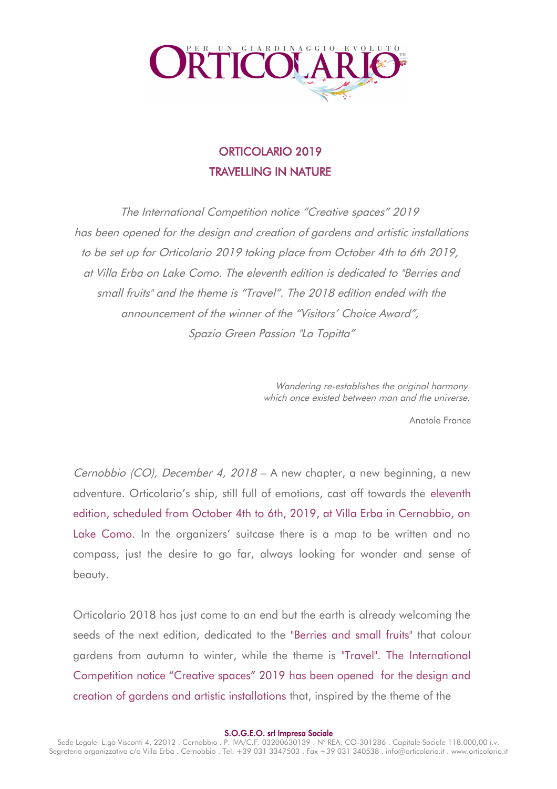

# ORTICOLARIO 2019 TRAVELLING IN NATURE

The International Competition notice "Creative spaces" 2019 has been opened for the design and creation of gardens and artistic installations to be set up for Orticolario 2019 taking place from October 4th to 6th 2019, at Villa Erba on Lake Como. The eleventh edition is dedicated to "Berries and small fruits" and the theme is "Travel". The 2018 edition ended with the announcement of the winner of the "Visitors' Choice Award", Spazio Green Passion "La Topitta"

> Wandering re-establishes the original harmony which once existed between man and the universe.

> > Anatole France

Cernobbio (CO), December 4, 2018 – A new chapter, a new beginning, a new adventure. Orticolario's ship, still full of emotions, cast off towards the eleventh edition, scheduled from October 4th to 6th, 2019, at Villa Erba in Cernobbio, on Lake Como. In the organizers' suitcase there is a map to be written and no compass, just the desire to go far, always looking for wonder and sense of beauty.

Orticolario 2018 has just come to an end but the earth is already welcoming the seeds of the next edition, dedicated to the "Berries and small fruits" that colour gardens from autumn to winter, while the theme is "Travel". The International Competition notice "Creative spaces" 2019 has been opened for the design and creation of gardens and artistic installations that, inspired by the theme of the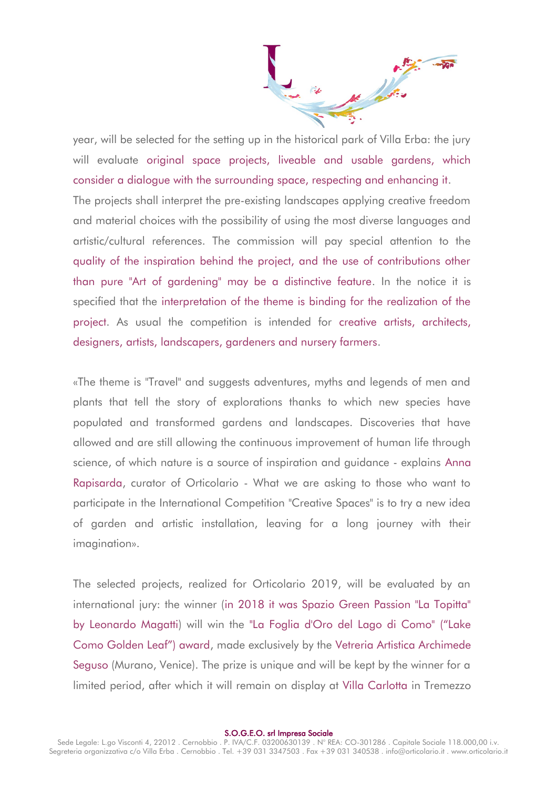year, will be selected for the setting up in the historical park of Villa Erba: the jury will evaluate original space projects, liveable and usable gardens, which consider a dialogue with the surrounding space, respecting and enhancing it. The projects shall interpret the pre-existing landscapes applying creative freedom and material choices with the possibility of using the most diverse languages and artistic/cultural references. The commission will pay special attention to the quality of the inspiration behind the project, and the use of contributions other than pure "Art of gardening" may be a distinctive feature. In the notice it is specified that the interpretation of the theme is binding for the realization of the project. As usual the competition is intended for creative artists, architects, designers, artists, landscapers, gardeners and nursery farmers.

«The theme is "Travel" and suggests adventures, myths and legends of men and plants that tell the story of explorations thanks to which new species have populated and transformed gardens and landscapes. Discoveries that have allowed and are still allowing the continuous improvement of human life through science, of which nature is a source of inspiration and guidance - explains Anna Rapisarda, curator of Orticolario - What we are asking to those who want to participate in the International Competition "Creative Spaces" is to try a new idea of garden and artistic installation, leaving for a long journey with their imagination».

The selected projects, realized for Orticolario 2019, will be evaluated by an international jury: the winner (in 2018 it was Spazio Green Passion "La Topitta" by Leonardo Magatti) will win the "La Foglia d'Oro del Lago di Como" ("Lake Como Golden Leaf") award, made exclusively by the Vetreria Artistica Archimede Seguso (Murano, Venice). The prize is unique and will be kept by the winner for a limited period, after which it will remain on display at Villa Carlotta in Tremezzo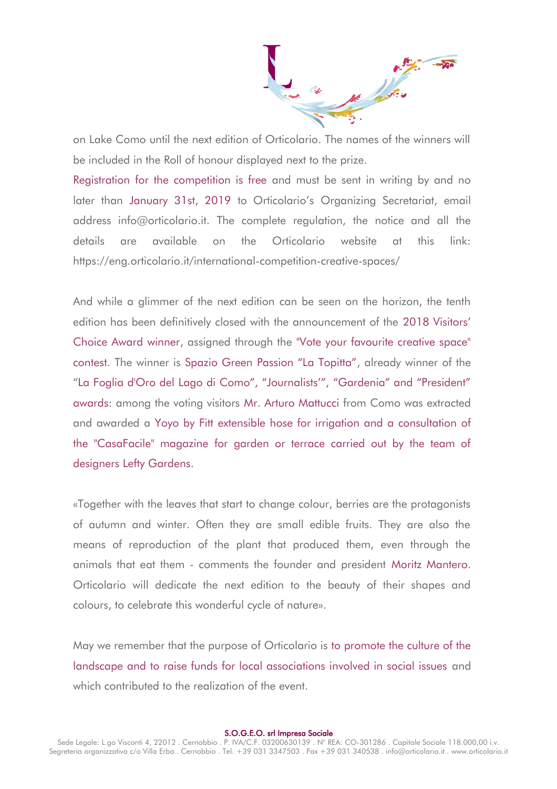$\frac{1}{100}$ 

on Lake Como until the next edition of Orticolario. The names of the winners will be included in the Roll of honour displayed next to the prize.

Registration for the competition is free and must be sent in writing by and no later than January 31st, 2019 to Orticolario's Organizing Secretariat, email address info@orticolario.it. The complete regulation, the notice and all the details are available on the Orticolario website at this link: https://eng.orticolario.it/international-competition-creative-spaces/

And while a glimmer of the next edition can be seen on the horizon, the tenth edition has been definitively closed with the announcement of the 2018 Visitors' Choice Award winner, assigned through the "Vote your favourite creative space" contest. The winner is Spazio Green Passion "La Topitta", already winner of the "La Foglia d'Oro del Lago di Como", "Journalists'", "Gardenia" and "President" awards: among the voting visitors Mr. Arturo Mattucci from Como was extracted and awarded a Yoyo by Fitt extensible hose for irrigation and a consultation of the "CasaFacile" magazine for garden or terrace carried out by the team of designers Lefty Gardens.

«Together with the leaves that start to change colour, berries are the protagonists of autumn and winter. Often they are small edible fruits. They are also the means of reproduction of the plant that produced them, even through the animals that eat them - comments the founder and president Moritz Mantero. Orticolario will dedicate the next edition to the beauty of their shapes and colours, to celebrate this wonderful cycle of nature».

May we remember that the purpose of Orticolario is to promote the culture of the landscape and to raise funds for local associations involved in social issues and which contributed to the realization of the event.